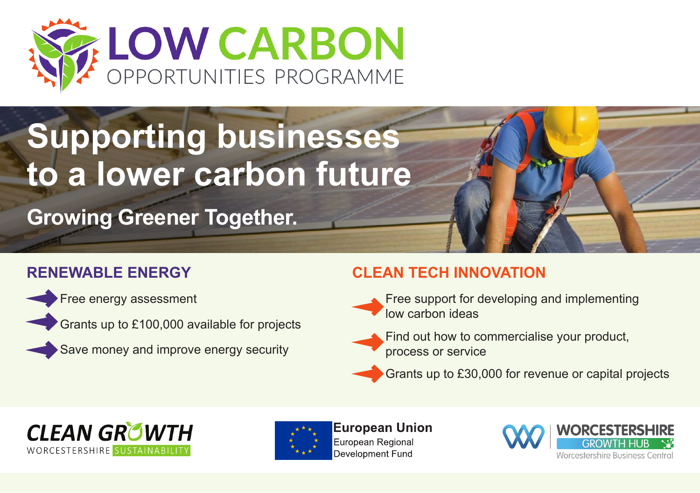

# **Supporting businesses to a lower carbon future**

**Growing Greener Together.**

### **RENEWABLE ENERGY**



Free energy assessment

Grants up to £100,000 available for projects

Save money and improve energy security

#### **CLEAN TECH INNOVATION**



Free support for developing and implementing low carbon ideas



Grants up to £30,000 for revenue or capital projects





**European Union** European Regional Development Fund